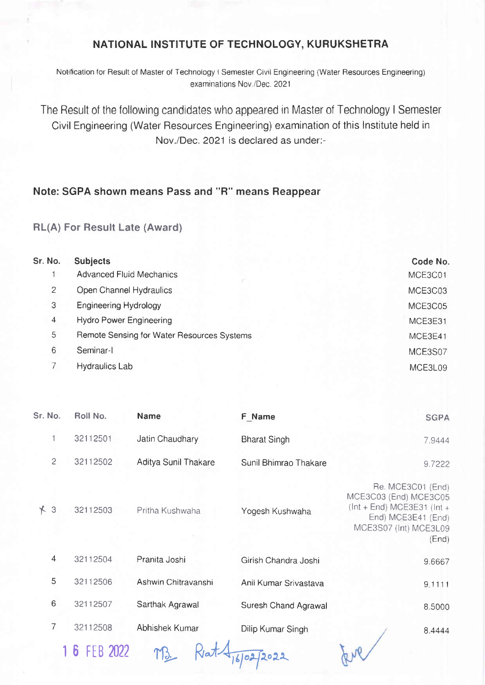## NATIONAL INSTITUTE OF TECHNOLOGY, KURUKSHETRA

Notification for Result of Master of Technology I Semester Civil Engineering (Water Resources Engineering) examinations Nov./Dec. 2021

The Result of the following candidates who appeared in Master of Technology I Semester Civil Engineering (Water Resources Engineering) examination of this lnstitute held in Nov./Dec. 2021 is declared as under:-

## Note: SGPA shown means Pass and "R" means Reappear

## RL(A) For Result Late (Award)

| Sr. No. | <b>Subjects</b>                            | Code No. |  |
|---------|--------------------------------------------|----------|--|
|         | <b>Advanced Fluid Mechanics</b>            | MCE3C01  |  |
| 2       | Open Channel Hydraulics                    | MCE3C03  |  |
| 3       | <b>Engineering Hydrology</b>               | MCE3C05  |  |
| 4       | <b>Hydro Power Engineering</b>             | MCE3E31  |  |
| 5       | Remote Sensing for Water Resources Systems | MCE3E41  |  |
| 6       | Seminar-I                                  | MCE3S07  |  |
|         | <b>Hydraulics Lab</b>                      | MCE3L09  |  |

| Sr. No.        | Roll No.     | <b>Name</b>          | F Name                | <b>SGPA</b>                                                                                                                         |
|----------------|--------------|----------------------|-----------------------|-------------------------------------------------------------------------------------------------------------------------------------|
| 1              | 32112501     | Jatin Chaudhary      | <b>Bharat Singh</b>   | 7.9444                                                                                                                              |
| $\overline{c}$ | 32112502     | Aditya Sunil Thakare | Sunil Bhimrao Thakare | 9.7222                                                                                                                              |
| $*3$           | 32112503     | Pritha Kushwaha      | Yogesh Kushwaha       | Re. MCE3C01 (End)<br>MCE3C03 (End) MCE3C05<br>$ (Int + End) MCE3E31 (Int +$<br>End) MCE3E41 (End)<br>MCE3S07 (Int) MCE3L09<br>(End) |
| $\overline{4}$ | 32112504     | Pranita Joshi        | Girish Chandra Joshi  | 9.6667                                                                                                                              |
| 5              | 32112506     | Ashwin Chitravanshi  | Anil Kumar Srivastava | 9.1111                                                                                                                              |
| 6              | 32112507     | Sarthak Agrawal      | Suresh Chand Agrawal  | 8.5000                                                                                                                              |
| $\overline{7}$ | 32112508     | Abhishek Kumar       | Dilip Kumar Singh     | 8.4444                                                                                                                              |
|                | 1 6 FEB 2022 |                      |                       |                                                                                                                                     |